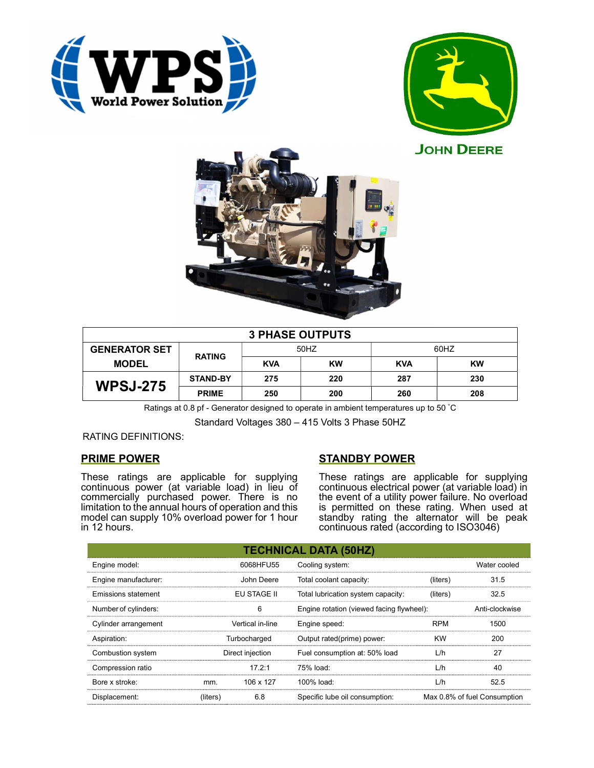







| <b>3 PHASE OUTPUTS</b>               |                 |            |           |            |     |  |
|--------------------------------------|-----------------|------------|-----------|------------|-----|--|
| <b>GENERATOR SET</b><br><b>MODEL</b> | <b>RATING</b>   | 50HZ       |           | 60HZ       |     |  |
|                                      |                 | <b>KVA</b> | <b>KW</b> | <b>KVA</b> | KW  |  |
| <b>WPSJ-275</b>                      | <b>STAND-BY</b> | 275        | 220       | 287        | 230 |  |
|                                      | <b>PRIME</b>    | 250        | 200       | 260        | 208 |  |

Ratings at 0.8 pf - Generator designed to operate in ambient temperatures up to 50 °C

Standard Voltages 380 – 415 Volts 3 Phase 50HZ

RATING DEFINITIONS:

# PRIME POWER

These ratings are applicable for supplying continuous power (at variable load) in lieu of commercially purchased power. There is no limitation to the annual hours of operation and this model can supply 10% overload power for 1 hour in 12 hours.

# STANDBY POWER

These ratings are applicable for supplying continuous electrical power (at variable load) in the event of a utility power failure. No overload is permitted on these rating. When used at standby rating the alternator will be peak continuous rated (according to ISO3046)

|                                           |          |                                    | <b>TECHNICAL DATA (50HZ)</b>              |            |                              |
|-------------------------------------------|----------|------------------------------------|-------------------------------------------|------------|------------------------------|
| Engine model:                             |          | 6068HFU55                          | Cooling system:                           |            | Water cooled                 |
| Engine manufacturer:                      |          | John Deere                         | Total coolant capacity:                   | (liters)   | 31.5                         |
| <b>Emissions statement</b><br>EU STAGE II |          | Total lubrication system capacity: | (liters)                                  | 32.5       |                              |
| Number of cylinders:                      |          | 6                                  | Engine rotation (viewed facing flywheel): |            | Anti-clockwise               |
| Cylinder arrangement                      |          | Vertical in-line                   | Engine speed:                             | <b>RPM</b> | 1500                         |
| Aspiration:                               |          | Turbocharged                       | Output rated(prime) power:                | <b>KW</b>  | 200                          |
| Combustion system                         |          | Direct injection                   | Fuel consumption at: 50% load             | L/h        | 27                           |
| Compression ratio                         |          | 17.2:1                             | 75% load:                                 | L/h        | 40                           |
| Bore x stroke:                            | mm.      | 106 x 127                          | 100% load:                                | L/h        | 52.5                         |
| Displacement:                             | (liters) | 6.8                                | Specific lube oil consumption:            |            | Max 0.8% of fuel Consumption |